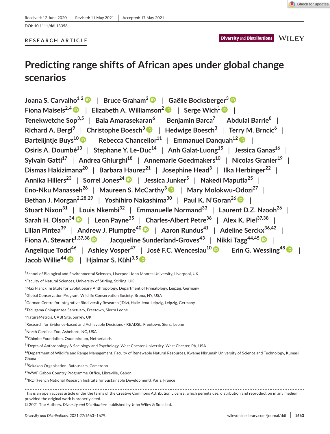**Diversity and Distributions MILEY** 

DOI: 10.1111/ddi.13358

# **RESEARCH ARTICLE**

# **Predicting range shifts of African apes under global change scenarios**

**Joana S. Carvalho1,2** | **Bruce Graham[2](https://orcid.org/0000-0002-3243-2532)** | **Gaёlle Bocksberger<sup>3</sup>** | **Fiona** Maisels<sup>2,[4](https://orcid.org/0000-0002-0778-0615)</sup>  $\bullet$  | Elizabeth A. Williamson<sup>[2](https://orcid.org/0000-0001-6848-9154)</sup>  $\bullet$  | Serge Wich<sup>1</sup>  $\bullet$  | **Tenekwetche Sop3,5** | **Bala Amarasekaran<sup>6</sup>** | **Benjamin Barca<sup>7</sup>** | **Abdulai Barrie<sup>8</sup>** | **Richard A. Bergl<sup>9</sup>** | **Christophe Boesch3** | **Hedwige Boesch3** | **Terry M. Brncic6** | **Bartelijntje Buys1[0](https://orcid.org/0000-0002-6970-9793)** | **Rebecca Chancellor11** | **Emmanuel Danquah1[2](https://orcid.org/0000-0002-8305-5706)** | **Osiris A. Doumbé13** | **Stephane Y. Le-Duc14** | **Anh Galat-Luong15** | **Jessica Ganas16** |  $S$ ylvain Gatti<sup>17</sup> | Andrea Ghiurghi<sup>18</sup> | Annemarie Goedmakers<sup>10</sup> | Nicolas Granier<sup>19</sup> | **Dismas Hakizimana20** | **Barbara Haurez21** | **Josephine Head3** | **Ilka Herbinger<sup>22</sup>** | **Annika Hillers23** | **Sorrel Jones24** | **Jessica Junker5** | **Nakedi Maputla25** | **Eno-Nku Manasseh26** | **Maureen S. McCarthy[3](https://orcid.org/0000-0001-8729-2023)** | **Mary Molokwu-Odozi27** | **Bethan J. Morgan2,28,29** | **Yoshihiro Nakashima30** | **Paul K. N'Goran2[6](https://orcid.org/0000-0003-2933-5990)** | **Stuart Nixon31** | **Louis Nkembi32** | **Emmanuelle Normand33** | **Laurent D.Z. Nzooh26** | **Sarah H. Olson3[4](https://orcid.org/0000-0002-8484-9006)** | **Leon Payne35** | **Charles-Albert Petre36** | **Alex K. Piel37,38** | **Lilian Pintea39** | **Andrew J. Plumptre4[0](http://orcid.org/0000-0002-9333-4047)** | **Aaron Rundus<sup>41</sup>** | **Adeline Serckx36,42** | **Fiona A. Stewart**<sup>1,37,38</sup> | Jacqueline Sunderland-Groves<sup>43</sup> | Nikki Tagg<sup>44,45</sup> | | **Angelique Todd<sup>46</sup>** | **Ashley Vosper47** | **José F.C. Wenceslau1[0](https://orcid.org/0000-0001-5581-531X)** | **Erin G. Wessling48** | **Jacob Willie4[4](https://orcid.org/0000-0002-8939-1321)** | **Hjalmar S. Kühl3,[5](https://orcid.org/0000-0002-4440-9161)**

<sup>1</sup>School of Biological and Environmental Sciences, Liverpool John Moores University, Liverpool, UK

 $^{2}$ Faculty of Natural Sciences, University of Stirling, Stirling, UK

 $^3$ Max Planck Institute for Evolutionary Anthropology, Department of Primatology, Leipzig, Germany

4 Global Conservation Program, Wildlife Conservation Society, Bronx, NY, USA

6 Tacugama Chimpanzee Sanctuary, Freetown, Sierra Leone

7 NatureMetrcis, CABI Site, Surrey, UK

 $^8$ Research for Evidence-based and Achievable Decisions - READSL, Freetown, Sierra Leone

9 North Carolina Zoo, Asheboro, NC, USA

<sup>10</sup>Chimbo Foundation, Oudemirdum, Netherlands

 $11$ Depts of Anthropology & Sociology and Psychology, West Chester University, West Chester, PA, USA

 $12$ Department of Wildlife and Range Management, Faculty of Renewable Natural Resources, Kwame Nkrumah University of Science and Technology, Kumasi, Ghana

13Sekakoh Organisation, Bafoussam, Cameroon

<sup>14</sup>WWF Gabon Country Programme Office, Libreville, Gabon

<sup>15</sup>IRD (French National Research Institute for Sustainable Development), Paris, France

This is an open access article under the terms of the [Creative Commons Attribution](http://creativecommons.org/licenses/by/4.0/) License, which permits use, distribution and reproduction in any medium, provided the original work is properly cited.

© 2021 The Authors. *Diversity and Distributions* published by John Wiley & Sons Ltd.

<sup>&</sup>lt;sup>5</sup>German Centre for Integrative Biodiversity Research (iDiv), Halle-Jena-Leipzig, Leipzig, Germany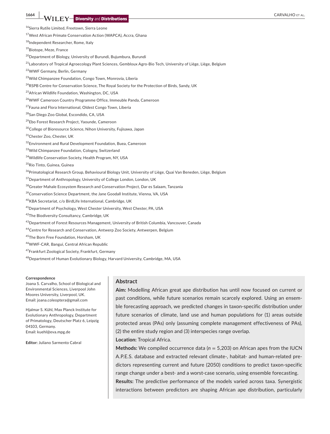<sup>16</sup>Sierra Rutile Limited, Freetown, Sierra Leone

<sup>17</sup>West African Primate Conservation Action (WAPCA), Accra, Ghana

<sup>18</sup>Independent Researcher, Rome, Italy

<sup>19</sup>Biotope, Meze, France

<sup>20</sup>Department of Biology, University of Burundi, Bujumbura, Burundi

<sup>21</sup>Laboratory of Tropical Agroecology Plant Sciences, Gembloux Agro-Bio Tech, University of Liège, Liège, Belgium

<sup>22</sup>WWF Germany, Berlin, Germany

<sup>23</sup>Wild Chimpanzee Foundation, Congo Town, Monrovia, Liberia

<sup>24</sup>RSPB Centre for Conservation Science, The Royal Society for the Protection of Birds, Sandy, UK

<sup>25</sup>African Wildlife Foundation, Washington, DC, USA

<sup>26</sup>WWF Cameroon Country Programme Office, Immeuble Panda, Cameroon

<sup>27</sup>Fauna and Flora International, Oldest Congo Town, Liberia

<sup>28</sup>San Diego Zoo Global, Escondido, CA, USA

<sup>29</sup>Ebo Forest Research Project, Yaounde, Cameroon

<sup>30</sup>College of Bioresource Science, Nihon University, Fujisawa, Japan

<sup>31</sup>Chester Zoo, Chester, UK

32Environment and Rural Development Foundation, Buea, Cameroon

<sup>33</sup>Wild Chimpanzee Foundation, Cologny, Switzerland

<sup>34</sup>Wildlife Conservation Society, Health Program, NY, USA

<sup>35</sup>Rio Tinto, Guinea, Guinea

<sup>36</sup>Primatological Research Group, Behavioural Biology Unit, University of Liège, Quai Van Beneden, Liège, Belgium

<sup>37</sup> Department of Anthropology, University of College London, London, UK

<sup>38</sup>Greater Mahale Ecosystem Research and Conservation Project, Dar es Salaam, Tanzania

<sup>39</sup>Conservation Science Department, the Jane Goodall Institute, Vienna, VA, USA

<sup>40</sup>KBA Secretariat, c/o BirdLife International, Cambridge, UK

<sup>41</sup>Department of Psychology, West Chester University, West Chester, PA, USA

42The Biodiversity Consultancy, Cambridge, UK

<sup>43</sup>Department of Forest Resources Management, University of British Columbia, Vancouver, Canada

<sup>44</sup>Centre for Research and Conservation, Antwerp Zoo Society, Antwerpen, Belgium

<sup>45</sup>The Born Free Foundation, Horsham, UK

<sup>46</sup>WWF-CAR, Bangui, Central African Republic

<sup>47</sup>Frankfurt Zoological Society, Frankfurt, Germany

<sup>48</sup>Department of Human Evolutionary Biology, Harvard University, Cambridge, MA, USA

#### **Correspondence**

Joana S. Carvalho, School of Biological and Environmental Sciences, Liverpool John Moores University, Liverpool, UK. Email: [joana.coleoptera@gmail.com](mailto:joana.coleoptera@gmail.com)

Hjalmar S. Kühl, Max Planck Institute for Evolutionary Anthropology, Department of Primatology, Deutscher Platz 6, Leipzig 04103, Germany. Email: [kuehl@eva.mpg.de](mailto:kuehl@eva.mpg.de)

**Editor:** Juliano Sarmento Cabral

### **Abstract**

**Aim:** Modelling African great ape distribution has until now focused on current or past conditions, while future scenarios remain scarcely explored. Using an ensemble forecasting approach, we predicted changes in taxon-specific distribution under future scenarios of climate, land use and human populations for (1) areas outside protected areas (PAs) only (assuming complete management effectiveness of PAs), (2) the entire study region and (3) interspecies range overlap.

**Location:** Tropical Africa.

**Methods:** We compiled occurrence data (*n* = 5,203) on African apes from the IUCN A.P.E.S. database and extracted relevant climate-, habitat- and human-related predictors representing current and future (2050) conditions to predict taxon-specific range change under a best- and a worst-case scenario, using ensemble forecasting. **Results:** The predictive performance of the models varied across taxa. Synergistic interactions between predictors are shaping African ape distribution, particularly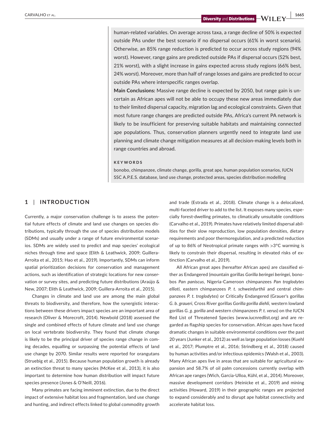human-related variables. On average across taxa, a range decline of 50% is expected outside PAs under the best scenario if no dispersal occurs (61% in worst scenario). Otherwise, an 85% range reduction is predicted to occur across study regions (94% worst). However, range gains are predicted outside PAs if dispersal occurs (52% best, 21% worst), with a slight increase in gains expected across study regions (66% best, 24% worst). Moreover, more than half of range losses and gains are predicted to occur outside PAs where interspecific ranges overlap.

**Main Conclusions:** Massive range decline is expected by 2050, but range gain is uncertain as African apes will not be able to occupy these new areas immediately due to their limited dispersal capacity, migration lag and ecological constraints. Given that most future range changes are predicted outside PAs, Africa's current PA network is likely to be insufficient for preserving suitable habitats and maintaining connected ape populations. Thus, conservation planners urgently need to integrate land use planning and climate change mitigation measures at all decision-making levels both in range countries and abroad.

#### **KEYWORDS**

bonobo, chimpanzee, climate change, gorilla, great ape, human population scenarios, IUCN SSC A.P.E.S. database, land use change, protected areas, species distribution modelling

# **1** | **INTRODUCTION**

Currently, a major conservation challenge is to assess the potential future effects of climate and land use changes on species distributions, typically through the use of species distribution models (SDMs) and usually under a range of future environmental scenarios. SDMs are widely used to predict and map species' ecological niches through time and space (Elith & Leathwick, 2009; Guillera-Arroita et al., 2015; Hao et al., 2019). Importantly, SDMs can inform spatial prioritization decisions for conservation and management actions, such as identification of strategic locations for new conservation or survey sites, and predicting future distributions (Araújo & New, 2007; Elith & Leathwick, 2009; Guillera-Arroita et al., 2015).

Changes in climate and land use are among the main global threats to biodiversity, and therefore, how the synergistic interactions between these drivers impact species are an important area of research (Oliver & Morecroft, 2014). Newbold (2018) assessed the single and combined effects of future climate and land use change on local vertebrate biodiversity. They found that climate change is likely to be the principal driver of species range change in coming decades, equalling or surpassing the potential effects of land use change by 2070. Similar results were reported for orangutans (Struebig et al., 2015). Because human population growth is already an extinction threat to many species (McKee et al., 2013), it is also important to determine how human distribution will impact future species presence (Jones & O'Neill, 2016).

Many primates are facing imminent extinction, due to the direct impact of extensive habitat loss and fragmentation, land use change and hunting, and indirect effects linked to global commodity growth

and trade (Estrada et al., 2018). Climate change is a delocalized, multi-faceted driver to add to the list. It exposes many species, especially forest-dwelling primates, to climatically unsuitable conditions (Carvalho et al., 2019). Primates have relatively limited dispersal abilities for their slow reproduction, low population densities, dietary requirements and poor thermoregulation, and a predicted reduction of up to 86% of Neotropical primate ranges with >3°C warming is likely to constrain their dispersal, resulting in elevated risks of extinction (Carvalho et al., 2019).

All African great apes (hereafter African apes) are classified either as Endangered (mountain gorillas *Gorilla beringei beringei,* bonobos *Pan paniscus,* Nigeria-Cameroon chimpanzees *Pan troglodytes ellioti,* eastern chimpanzees *P. t. schweinfurthii* and central chimpanzees *P. t. troglodytes*) or Critically Endangered (Grauer's gorillas *G. b. graueri,* Cross River gorillas *Gorilla gorilla diehli,* western lowland gorillas *G. g. gorilla* and western chimpanzees *P*. *t. verus*) on the IUCN Red List of Threatened Species [\(www.iucnredlist.org](http://www.iucnredlist.org)) and are regarded as flagship species for conservation. African apes have faced dramatic changes in suitable environmental conditions over the past 20 years (Junker et al., 2012) as well as large population losses (Kuehl et al., 2017; Plumptre et al., 2016; Strindberg et al., 2018) caused by human activities and/or infectious epidemics (Walsh et al., 2003). Many African apes live in areas that are suitable for agricultural expansion and 58.7% of oil palm concessions currently overlap with African ape ranges (Wich, Garcia-Ulloa, Kühl, et al., 2014). Moreover, massive development corridors (Heinicke et al., 2019) and mining activities (Howard, 2019) in their geographic ranges are projected to expand considerably and to disrupt ape habitat connectivity and accelerate habitat loss.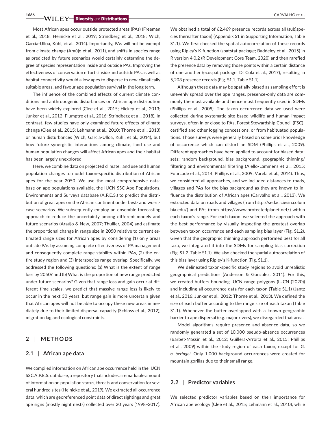**1666 WILEY Diversity** and Distributions **and CARVAL AUTOR CARVALHO ET AL.** 

Most African apes occur outside protected areas (PAs) (Freeman et al., 2018; Heinicke et al., 2019; Strindberg et al., 2018; Wich, Garcia-Ulloa, Kühl, et al., 2014). Importantly, PAs will not be exempt from climate change (Araújo et al., 2011), and shifts in species range as predicted by future scenarios would certainly determine the degree of species representation inside and outside PAs. Improving the effectiveness of conservation efforts inside and outside PAs as well as habitat connectivity would allow apes to disperse to new climatically suitable areas, and favour ape population survival in the long term.

The influence of the combined effects of current climate conditions and anthropogenic disturbances on African ape distribution have been widely explored (Clee et al., 2015; Hickey et al., 2013; Junker et al., 2012; Plumptre et al., 2016; Strindberg et al., 2018). In contrast, few studies have only examined future effects of climate change (Clee et al., 2015; Lehmann et al., 2010; Thorne et al., 2013) or human disturbances (Wich, Garcia-Ulloa, Kühl, et al., 2014), but how future synergistic interactions among climate, land use and human population changes will affect African apes and their habitat has been largely unexplored.

Here, we combine data on projected climate, land use and human population changes to model taxon-specific distribution of African apes for the year 2050. We use the most comprehensive database on ape populations available, the IUCN SSC Ape Populations, Environments and Surveys database (A.P.E.S.) to predict the distribution of great apes on the African continent under best- and worstcase scenarios. We subsequently employ an ensemble forecasting approach to reduce the uncertainty among different models and future scenarios (Araújo & New, 2007; Thuiller, 2004) and estimate the proportional change in range size in 2050 relative to current estimated range sizes for African apes by considering (1) only areas outside PAs by assuming complete effectiveness of PA management and consequently complete range stability within PAs, (2) the entire study region and (3) interspecies range overlap. Specifically, we addressed the following questions: (a) What is the extent of range loss by 2050? and (b) What is the proportion of new range predicted under future scenarios? Given that range loss and gain occur at different time scales, we predict that massive range loss is likely to occur in the next 30 years, but range gain is more uncertain given that African apes will not be able to occupy these new areas immediately due to their limited dispersal capacity (Schloss et al., 2012), migration lag and ecological constraints.

# **2** | **METHODS**

# **2.1** | **African ape data**

We compiled information on African ape occurrence held in the IUCN SSC A.P.E.S. database, a repository that includes a remarkable amount of information on population status, threats and conservation for several hundred sites (Heinicke et al., 2019). We extracted all occurrence data, which are georeferenced point data of direct sightings and great ape signs (mostly night nests) collected over 20 years (1998–2017).

We obtained a total of 62,469 presence records across all (sub)species (hereafter taxon) (Appendix S1 in Supporting Information, Table S1.1). We first checked the spatial autocorrelation of these records using Ripley's K-function (spatstat package; Baddeley et al., 2015) in R version 4.0.2 (R Development Core Team, 2020) and then rarefied the presence data by removing those points within a certain distance of one another (ecospat package; Di Cola et al., 2017), resulting in 5,203 presence records (Fig. S1.1, Table S1.1).

Although these data may be spatially biased as sampling effort is unevenly spread over the ape ranges, presence-only data are commonly the most available and hence most frequently used in SDMs (Phillips et al., 2009). The taxon occurrence data we used were collected during systematic site-based wildlife and human impact surveys, often in or close to PAs, Forest Stewardship Council (FSC) certified and other logging concessions, or from habituated populations. Those surveys were generally based on some prior knowledge of occurrence which can distort an SDM (Phillips et al., 2009). Different approaches have been applied to account for biased datasets: random background, bias background, geographic thinning/ filtering and environmental filtering (Aiello-Lammens et al., 2015; Fourcade et al., 2014; Phillips et al., 2009; Varela et al., 2014). Thus, we considered all approaches, and we included distances to roads, villages and PAs for the bias background as they are known to influence the distribution of African apes (Carvalho et al., 2013). We extracted data on roads and villages (from [http://sedac.ciesin.colum](http://sedac.ciesin.columbia.edu/) [bia.edu/](http://sedac.ciesin.columbia.edu/)) and PAs (from [https://www.protectedplanet.net/\)](https://www.protectedplanet.net/) within each taxon's range. For each taxon, we selected the approach with the best performance by visually inspecting the greatest overlap between taxon occurrence and each sampling bias layer (Fig. S1.2). Given that the geographic thinning approach performed best for all taxa, we integrated it into the SDMs for sampling bias correction (Fig. S1.2, Table S1.1). We also checked the spatial autocorrelation of this bias layer using Ripley's K-function (Fig. S1.1).

We delineated taxon-specific study regions to avoid unrealistic geographical predictions (Anderson & Gonzalez, 2011). For this, we created buffers bounding IUCN range polygons (IUCN (2020)) and including all occurrence data for each taxon (Table S1.1) (Jantz et al., 2016; Junker et al., 2012; Thorne et al., 2013). We defined the size of each buffer according to the range size of each taxon (Table S1.1). Whenever the buffer overlapped with a known geographic barrier to ape dispersal (e.g. major rivers), we disregarded that area.

Model algorithms require presence and absence data, so we randomly generated a set of 10,000 pseudo-absence occurrences (Barbet-Massin et al., 2012; Guillera-Arroita et al., 2015; Phillips et al., 2009) within the study region of each taxon, except for *G. b. beringei*. Only 1,000 background occurrences were created for mountain gorillas due to their small range.

### **2.2** | **Predictor variables**

We selected predictor variables based on their importance for African ape ecology (Clee et al., 2015; Lehmann et al., 2010), while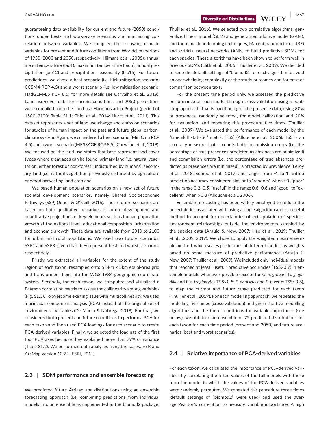guaranteeing data availability for current and future (2050) conditions under best- and worst-case scenarios and minimizing correlation between variables. We compiled the following climatic variables for present and future conditions from Worldclim (periods of 1950–2000 and 2050, respectively; Hijmans et al., 2005): annual mean temperature (bio1), maximum temperature (bio5), annual precipitation (bio12) and precipitation seasonality (bio15). For future predictions, we chose a best scenario (i.e. high mitigation scenario, CCSM4 RCP 4.5) and a worst scenario (i.e. low mitigation scenario, HadGEM-ES RCP 8.5; for more details see Carvalho et al., 2019). Land use/cover data for current conditions and 2050 projections were compiled from the Land use Harmonization Project (period of 1500–2100; Table S1.1; Chini et al., 2014; Hurtt et al., 2011). This dataset represents a set of land use change and emission scenarios for studies of human impact on the past and future global carbonclimate system. Again, we considered a best scenario (MiniCam RCP 4.5) and a worst scenario (MESSAGE RCP 8.5) (Carvalho et al., 2019). We focused on the land use states that best represent land cover types where great apes can be found: primary land (i.e. natural vegetation, either forest or non-forest, undisturbed by humans), secondary land (i.e. natural vegetation previously disturbed by agriculture or wood harvesting) and cropland.

We based human population scenarios on a new set of future societal development scenarios, namely Shared Socioeconomic Pathways (SSP) (Jones & O'Neill, 2016). These future scenarios are based on both qualitative narratives of future development and quantitative projections of key elements such as human population growth at the national level, educational composition, urbanization and economic growth. These data are available from 2010 to 2100 for urban and rural populations. We used two future scenarios, SSP1 and SSP3, given that they represent best and worst scenarios, respectively.

Firstly, we extracted all variables for the extent of the study region of each taxon, resampled onto a 5km x 5km equal-area grid and transformed them into the WGS 1984 geographic coordinate system. Secondly, for each taxon, we computed and visualized a Pearson correlation matrix to assess the collinearity among variables (Fig. S1.3). To overcome existing issue with multicollinearity, we used a principal component analysis (PCA) instead of the original set of environmental variables (De Marco & Nóbrega, 2018). For that, we considered both present and future conditions to perform a PCA for each taxon and then used PCA loadings for each scenario to create PCA-derived variables. Finally, we selected the loadings of the first four PCA axes because they explained more than 79% of variance (Table S1.2). We performed data analyses using the software R and ArcMap version 10.7.1 (ESRI, 2011).

### **2.3** | **SDM performance and ensemble forecasting**

We predicted future African ape distributions using an ensemble forecasting approach (i.e. combining predictions from individual models into an ensemble as implemented in the biomod2 package;

 **CARVALHO** ET AL. **1667**<br>**Diversity** and **Distributions**  $\rightarrow$  **Will**  $\rightarrow$  **1667** 

Thuiller et al., 2016). We selected two correlative algorithms, generalized linear model (GLM) and generalized additive model (GAM), and three machine-learning techniques, Maxent, random forest (RF) and artificial neural networks (ANN) to build predictive SDMs for each species. These algorithms have been shown to perform well in previous SDMs (Elith et al., 2006; Thuiller et al., 2009). We decided to keep the default settings of "biomod2" for each algorithm to avoid an overwhelming complexity of the study outcomes and for ease of comparison between taxa.

For the present time period only, we assessed the predictive performance of each model through cross-validation using a bootstrap approach, that is partitioning of the presence data, using 80% of presences, randomly selected, for model calibration and 20% for evaluation, and repeating this procedure five times (Thuiller et al., 2009). We evaluated the performance of each model by the "true skill statistic" metric (TSS) (Allouche et al., 2006). TSS is an accuracy measure that accounts both for omission errors (i.e. the percentage of true presences predicted as absences are minimized) and commission errors (i.e. the percentage of true absences predicted as presences are minimized), is affected by prevalence (Leroy et al., 2018; Somodi et al., 2017) and ranges from −1 to 1, with a prediction accuracy considered similar to "random" when ≤0, "poor" in the range 0.2–0.5, "useful" in the range 0.6–0.8 and "good" to "excellent" when >0.8 (Allouche et al., 2006).

Ensemble forecasting has been widely employed to reduce the uncertainties associated with using a single algorithm and is a useful method to account for uncertainties of extrapolation of species– environment relationships outside the environments sampled by the species data (Araújo & New, 2007; Hao et al., 2019; Thuiller et al., ,2009, 2019). We chose to apply the weighted mean ensemble method, which scales predictions of different models by weights based on some measure of predictive performance (Araújo & New, 2007; Thuiller et al., 2009). We included only individual models that reached at least "useful" predictive accuracies (TSS>0.7) in ensemble models whenever possible (except for *G. b. graueri*, *G. g. gorilla* and *P. t. troglodytes* TSS>0.5; *P. paniscus* and *P. t. verus* TSS>0.6), to map the current and future range predicted for each taxon (Thuiller et al., 2019). For each modelling approach, we repeated the modelling five times (cross-validation) and given the five modelling algorithms and the three repetitions for variable importance (see below), we obtained an ensemble of 75 predicted distributions for each taxon for each time period (present and 2050) and future scenarios (best and worst scenarios).

# **2.4** | **Relative importance of PCA-derived variables**

For each taxon, we calculated the importance of PCA-derived variables by correlating the fitted values of the full models with those from the model in which the values of the PCA-derived variables were randomly permuted. We repeated this procedure three times (default settings of "biomod2" were used) and used the average Pearson's correlation to measure variable importance. A high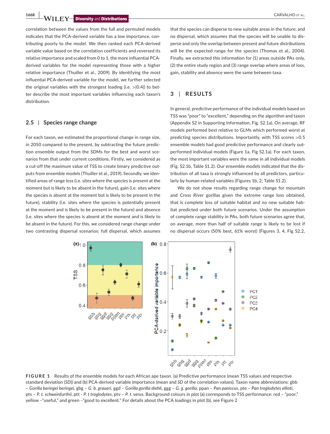**1668 WILEY Diversity and Distributions** 

correlation between the values from the full and permuted models indicates that the PCA-derived variable has a low importance, contributing poorly to the model. We then ranked each PCA-derived variable value based on the correlation coefficients and reversed its relative importance and scaled from 0 to 1, the more influential PCAderived variables for the model representing those with a higher relative importance (Thuiller et al., 2009). By identifying the most influential PCA-derived variable for the model, we further selected the original variables with the strongest loading (i.e.  $> |0.4|$ ) to better describe the most important variables influencing each taxon's distribution.

# **2.5** | **Species range change**

For each taxon, we estimated the proportional change in range size, in 2050 compared to the present, by subtracting the future prediction ensemble output from the SDMs for the best and worst scenarios from that under current conditions. Firstly, we considered as a cut-off the maximum value of TSS to create binary predictive outputs from ensemble models (Thuiller et al., 2019). Secondly, we identified areas of range loss (i.e. sites where the species is present at the moment but is likely to be absent in the future), gain (i.e. sites where the species is absent at the moment but is likely to be present in the future), stability (i.e. sites where the species is potentially present at the moment and is likely to be present in the future) and absence (i.e. sites where the species is absent at the moment and is likely to be absent in the future). For this, we considered range change under two contrasting dispersal scenarios: full dispersal, which assumes

that the species can disperse to new suitable areas in the future; and no dispersal, which assumes that the species will be unable to disperse and only the overlap between present and future distributions will be the expected range for the species (Thomas et al., 2004). Finally, we extracted this information for (1) areas outside PAs only, (2) the entire study region and (3) range overlap where areas of loss, gain, stability and absence were the same between taxa.

# **3** | **RESULTS**

In general, predictive performance of the individual models based on TSS was "poor" to "excellent," depending on the algorithm and taxon (Appendix S2 in Supporting Information, Fig. S2.1a). On average, RF models performed best relative to GLMs which performed worst at predicting species distributions. Importantly, with TSS scores >0.5 ensemble models had good predictive performance and clearly outperformed individual models (Figure 1a, Fig S2.1a). For each taxon, the most important variables were the same in all individual models (Fig. S2.1b, Table S1.2). Our ensemble models indicated that the distribution of all taxa is strongly influenced by all predictors, particularly by human-related variables (Figures 1b, 2; Table S1.2).

We do not show results regarding range change for mountain and Cross River gorillas given the extreme range loss obtained, that is complete loss of suitable habitat and no new suitable habitat predicted under both future scenarios. Under the assumption of complete range stability in PAs, both future scenarios agree that, on average, more than half of suitable range is likely to be lost if no dispersal occurs (50% best, 61% worst) (Figures 3, 4, Fig S2.2,



**FIGURE 1** Results of the ensemble models for each African ape taxon. (a) Predictive performance (mean TSS values and respective standard deviation (*SD*)) and (b) PCA-derived variable importance (mean and *SD* of the correlation values). Taxon name abbreviations: gbb – *Gorilla beringei beringei*, gbg – *G. b. graueri*, ggd – *Gorilla gorilla diehli*, ggg – *G. g. gorilla*, ppan – *Pan paniscus*, pte – *Pan troglodytes ellioti*, pts – *P. t. schweinfurthii*, ptt - *P. t troglodytes*, ptv – *P. t. verus*. Background colours in plot (a) corresponds to TSS performance: red – "poor," yellow –"useful," and green –"good to excellent." For details about the PCA loadings in plot (b), see Figure 2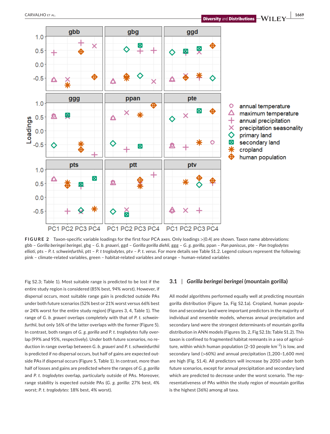

**FIGURE 2** Taxon-specific variable loadings for the first four PCA axes. Only loadings >|0.4| are shown. Taxon name abbreviations: gbb – *Gorilla beringei beringei*, gbg – *G. b. graueri*, ggd – *Gorilla gorilla diehli*, ggg – *G. g. gorilla*, ppan – *Pan paniscus*, pte – *Pan troglodytes ellioti*, pts – *P. t. schweinfurthii*, ptt – *P. t troglodytes*, ptv – *P. t. verus*. For more details see Table S1.2. Legend colours represent the following: pink – climate-related variables, green – habitat-related variables and orange – human-related variables

Fig S2.3; Table 1). Most suitable range is predicted to be lost if the entire study region is considered (85% best, 94% worst). However, if dispersal occurs, most suitable range gain is predicted outside PAs under both future scenarios (52% best or 21% worst versus 66% best or 24% worst for the entire study region) (Figures 3, 4, Table 1). The range of *G. b. graueri* overlaps completely with that of *P. t. schweinfurthii*, but only 16% of the latter overlaps with the former (Figure 5). In contrast, both ranges of *G. g. gorilla* and *P. t. troglodytes* fully overlap (99% and 95%, respectively). Under both future scenarios, no reduction in range overlap between *G. b. graueri* and *P. t. schweinfurthii* is predicted if no dispersal occurs, but half of gains are expected outside PAs if dispersal occurs (Figure 5, Table 1). In contrast, more than half of losses and gains are predicted where the ranges of *G. g. gorilla* and *P. t. troglodytes* overlap, particularly outside of PAs. Moreover, range stability is expected outside PAs (*G. g. gorilla*: 27% best, 4% worst; *P. t. troglodytes*: 18% best, 4% worst).

# **3.1** | *Gorilla beringei beringei* **(mountain gorilla)**

All model algorithms performed equally well at predicting mountain gorilla distribution (Figure 1a, Fig S2.1a). Cropland, human population and secondary land were important predictors in the majority of individual and ensemble models, whereas annual precipitation and secondary land were the strongest determinants of mountain gorilla distribution in ANN models (Figures 1b, 2, Fig S2.1b; Table S1.2). This taxon is confined to fragmented habitat remnants in a sea of agriculture, within which human population (2–10 people  $km^{-2}$ ) is low, and secondary land (>60%) and annual precipitation (1,200–1,600 mm) are high (Fig. S1.4). All predictors will increase by 2050 under both future scenarios, except for annual precipitation and secondary land which are predicted to decrease under the worst scenario. The representativeness of PAs within the study region of mountain gorillas is the highest (36%) among all taxa.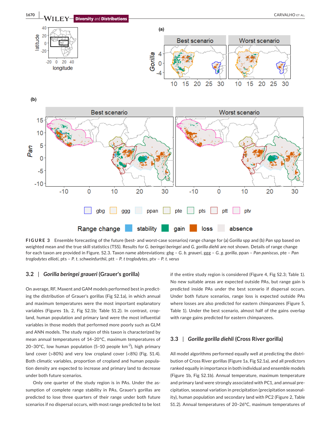

**FIGURE 3** Ensemble forecasting of the future (best- and worst-case scenarios) range change for (a) *Gorilla* spp and (b) *Pan* spp based on weighted mean and the true skill statistics (TSS). Results for *G. beringei beringei* and *G. gorilla diehli* are not shown. Details of range change for each taxon are provided in Figure. S2.3. Taxon name abbreviations: gbg – *G. b. graueri*, ggg – *G. g. gorilla*, ppan – *Pan paniscus*, pte – *Pan troglodytes ellioti*, pts – *P. t. schweinfurthii*, ptt – *P. t troglodytes*, ptv – *P. t. verus*

### **3.2** | *Gorilla beringei graueri* **(Grauer's gorilla)**

On average, RF, Maxent and GAM models performed best in predicting the distribution of Grauer's gorillas (Fig S2.1a), in which annual and maximum temperatures were the most important explanatory variables (Figures 1b, 2, Fig S2.1b; Table S1.2). In contrast, cropland, human population and primary land were the most influential variables in those models that performed more poorly such as GLM and ANN models. The study region of this taxon is characterized by mean annual temperatures of 14–20°C, maximum temperatures of 20-30°C, low human population (5-10 people  $km^{-2}$ ), high primary land cover (>80%) and very low cropland cover (<8%) (Fig. S1.4). Both climatic variables, proportion of cropland and human population density are expected to increase and primary land to decrease under both future scenarios.

Only one quarter of the study region is in PAs. Under the assumption of complete range stability in PAs, Grauer's gorillas are predicted to lose three quarters of their range under both future scenarios if no dispersal occurs, with most range predicted to be lost if the entire study region is considered (Figure 4, Fig S2.3; Table 1). No new suitable areas are expected outside PAs, but range gain is predicted inside PAs under the best scenario if dispersal occurs. Under both future scenarios, range loss is expected outside PAs where losses are also predicted for eastern chimpanzees (Figure 5, Table 1). Under the best scenario, almost half of the gains overlap with range gains predicted for eastern chimpanzees.

# **3.3** | *Gorilla gorilla diehli* **(Cross River gorilla)**

All model algorithms performed equally well at predicting the distribution of Cross River gorillas (Figure 1a, Fig S2.1a), and all predictors ranked equally in importance in both individual and ensemble models (Figure 1b, Fig S2.1b). Annual temperature, maximum temperature and primary land were strongly associated with PC1, and annual precipitation, seasonal variation in precipitation (precipitation seasonality), human population and secondary land with PC2 (Figure 2, Table S1.2). Annual temperatures of 20–26°C, maximum temperatures of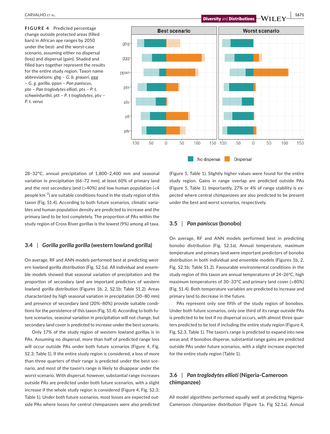**FIGURE 4** Predicted percentage change outside protected areas (filled bars) in African ape ranges by 2050 under the best- and the worst-case scenario, assuming either no dispersal (loss) and dispersal (gain). Shaded and filled bars together represent the results for the entire study region. Taxon name abbreviations: gbg – *G. b. graueri*, ggg – *G. g. gorilla*, ppan – *Pan paniscus*, pte – *Pan troglodytes ellioti*, pts – *P. t. schweinfurthii*, ptt – *P. t troglodytes*, ptv – *P. t. verus*



No dispersal

28–32°C, annual precipitation of 1,800–2,400 mm and seasonal variation in precipitation (66–72 mm), at least 60% of primary land and the rest secondary land ( $>40\%$ ) and low human population ( $<$ 4 people km−2) are suitable conditions found in the study region of this taxon (Fig. S1.4). According to both future scenarios, climatic variables and human population density are predicted to increase and the primary land to be lost completely. The proportion of PAs within the study region of Cross River gorillas is the lowest (9%) among all taxa.

# **3.4** | *Gorilla gorilla gorilla* **(western lowland gorilla)**

On average, RF and ANN models performed best at predicting western lowland gorilla distribution (Fig. S2.1a). All individual and ensemble models showed that seasonal variation of precipitation and the proportion of secondary land are important predictors of western lowland gorilla distribution (Figures 1b, 2, S2.1b; Table S1.2). Areas characterized by high seasonal variation in precipitation (30–80 mm) and presence of secondary land (20%–80%) provide suitable conditions for the persistence of this taxon (Fig. S1.4). According to both future scenarios, seasonal variation in precipitation will not change, but secondary land cover is predicted to increase under the best scenario.

Only 17% of the study region of western lowland gorillas is in PAs. Assuming no dispersal, more than half of predicted range loss will occur outside PAs under both future scenarios (Figure 4, Fig. S2.3; Table 1). If the entire study region is considered, a loss of more than three quarters of their range is predicted under the best scenario, and most of the taxon's range is likely to disappear under the worst scenario. With dispersal, however, substantial range increases outside PAs are predicted under both future scenarios, with a slight increase if the whole study region is considered (Figure 4, Fig. S2.3; Table 1). Under both future scenarios, most losses are expected outside PAs where losses for central chimpanzees were also predicted

(Figure 5, Table 1). Slightly higher values were found for the entire study region. Gains in range overlap are predicted outside PAs (Figure 5, Table 1). Importantly, 27% or 4% of range stability is expected where central chimpanzees are also predicted to be present under the best and worst scenarios, respectively.

**Dispersal** 

# **3.5** | *Pan paniscus* **(bonobo)**

On average, RF and ANN models performed best in predicting bonobo distribution (Fig. S2.1a). Annual temperature, maximum temperature and primary land were important predictors of bonobo distribution in both individual and ensemble models (Figures 1b, 2, Fig. S2.1b; Table S1.2). Favourable environmental conditions in the study region of this taxon are annual temperatures of 24–26°C, high maximum temperatures of 30–33°C and primary land cover (>80%) (Fig. S1.4). Both temperature variables are predicted to increase and primary land to decrease in the future.

PAs represent only one fifth of the study region of bonobos. Under both future scenarios, only one third of its range outside PAs is predicted to be lost if no dispersal occurs, with almost three quarters predicted to be lost if including the entire study region (Figure 4, Fig. S2.3, Table 1). The taxon's range is predicted to expand into new areas and, if bonobos disperse, substantial range gains are predicted outside PAs under future scenarios, with a slight increase expected for the entire study region (Table 1).

# **3.6** | *Pan troglodytes ellioti* **(Nigeria-Cameroon chimpanzee)**

All model algorithms performed equally well at predicting Nigeria-Cameroon chimpanzee distribution (Figure 1a, Fig S2.1a). Annual

 **CARVALHO ET AL. 1671 1671 Diversity and Distributions WII FY** 1671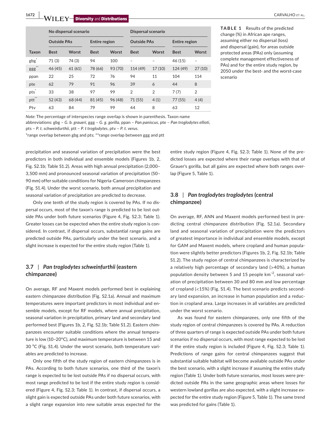**1672 WII FY** Diversity and Distributions **and CARVALHO ET AL.** CARVALHO ET AL.

|                     | No dispersal scenario |         |                      |         | <b>Dispersal scenario</b> |                |                      |                |
|---------------------|-----------------------|---------|----------------------|---------|---------------------------|----------------|----------------------|----------------|
|                     | <b>Outside PAs</b>    |         | <b>Entire region</b> |         | <b>Outside PAs</b>        |                | <b>Entire region</b> |                |
| <b>Taxon</b>        | <b>Best</b>           | Worst   | <b>Best</b>          | Worst   | <b>Best</b>               | Worst          | <b>Best</b>          | Worst          |
| $gbg^*$             | 71(3)                 | 74(3)   | 94                   | 100     |                           |                | 46 (15)              |                |
| $**$<br>ggg         | 46 (45)               | 61(61)  | 78 (66)              | 93 (70) | 114 (49)                  | 17(10)         | 124 (49)             | 27(10)         |
| ppan                | 22                    | 25      | 72                   | 76      | 94                        | 11             | 104                  | 114            |
| pte                 | 62                    | 79      | 91                   | 96      | 39                        | 6              | 44                   | 8              |
| pts                 | 33                    | 38      | 97                   | 99      | $\overline{2}$            | $\overline{2}$ | 7(7)                 | $\overline{2}$ |
| $\mathsf{ptt}^{**}$ | 52 (43)               | 68 (44) | 81 (45)              | 96 (48) | 71 (55)                   | 4(1)           | 77(55)               | 4(4)           |
| Ptv                 | 63                    | 84      | 79                   | 99      | 44                        | 8              | 63                   | 12             |

*Note:* The percentage of interspecies range overlap is shown in parenthesis. Taxon name

abbreviations: gbg – *G. b. graueri*, ggg – *G. g. gorilla*, ppan – *Pan paniscus*, pte – *Pan troglodytes ellioti*,

pts – *P. t. schweinfurthii*, ptt – *P. t troglodytes*, ptv – *P. t. verus*.

\*range overlap between gbg and pts; \*\*range overlap between ggg and ptt

precipitation and seasonal variation of precipitation were the best predictors in both individual and ensemble models (Figures 1b, 2, Fig. S2.1b; Table S1.2). Areas with high annual precipitation (2,000– 3,500 mm) and pronounced seasonal variation of precipitation (50– 90 mm) offer suitable conditions for Nigeria-Cameroon chimpanzees (Fig. S1.4). Under the worst scenario, both annual precipitation and seasonal variation of precipitation are predicted to decrease.

Only one tenth of the study region is covered by PAs. If no dispersal occurs, most of the taxon's range is predicted to be lost outside PAs under both future scenarios (Figure 4, Fig. S2.3; Table 1). Greater losses can be expected when the entire study region is considered. In contrast, if dispersal occurs, substantial range gains are predicted outside PAs, particularly under the best scenario, and a slight increase is expected for the entire study region (Table 1).

# **3.7** | *Pan troglodytes schweinfurthii* **(eastern chimpanzee)**

On average, RF and Maxent models performed best in explaining eastern chimpanzee distribution (Fig. S2.1a). Annual and maximum temperatures were important predictors in most individual and ensemble models, except for RF models, where annual precipitation, seasonal variation in precipitation, primary land and secondary land performed best (Figures 1b, 2, Fig. S2.1b; Table S1.2). Eastern chimpanzees encounter suitable conditions where the annual temperature is low (10–20°C), and maximum temperature is between 15 and 30 °C (Fig. S1.4). Under the worst scenario, both temperature variables are predicted to increase.

Only one fifth of the study region of eastern chimpanzees is in PAs. According to both future scenarios, one third of the taxon's range is expected to be lost outside PAs if no dispersal occurs, with most range predicted to be lost if the entire study region is considered (Figure 4, Fig. S2.3; Table 1). In contrast, if dispersal occurs, a slight gain is expected outside PAs under both future scenarios, with a slight range expansion into new suitable areas expected for the

**TABLE 1** Results of the predicted change (%) in African ape ranges, assuming either no dispersal (loss) and dispersal (gain), for areas outside protected areas (PAs) only (assuming complete management effectiveness of PAs) and for the entire study region, by 2050 under the best- and the worst-case scenario

entire study region (Figure 4, Fig. S2.3; Table 1). None of the predicted losses are expected where their range overlaps with that of Grauer's gorilla, but all gains are expected where both ranges overlap (Figure 5, Table 1).

# **3.8** | *Pan troglodytes troglodytes* **(central chimpanzee)**

On average, RF, ANN and Maxent models performed best in predicting central chimpanzee distribution (Fig. S2.1a). Secondary land and seasonal variation of precipitation were the predictors of greatest importance in individual and ensemble models, except for GAM and Maxent models, where cropland and human population were slightly better predictors (Figures 1b, 2, Fig. S2.1b; Table S1.2). The study region of central chimpanzees is characterized by a relatively high percentage of secondary land (>40%), a human population density between 5 and 15 people km<sup>-2</sup>, seasonal variation of precipitation between 30 and 80 mm and low percentage of cropland (<15%) (Fig. S1.4). The best scenario predicts secondary land expansion, an increase in human population and a reduction in cropland area. Large increases in all variables are predicted under the worst scenario.

As was found for eastern chimpanzees, only one fifth of the study region of central chimpanzees is covered by PAs. A reduction of three quarters of range is expected outside PAs under both future scenarios if no dispersal occurs, with most range expected to be lost if the entire study region is included (Figure 4, Fig. S2.3; Table 1). Predictions of range gains for central chimpanzees suggest that substantial suitable habitat will become available outside PAs under the best scenario, with a slight increase if assuming the entire study region (Table 1). Under both future scenarios, most losses were predicted outside PAs in the same geographic areas where losses for western lowland gorillas are also expected, with a slight increase expected for the entire study region (Figure 5, Table 1). The same trend was predicted for gains (Table 1).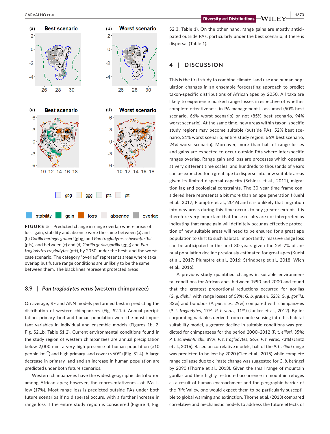

**FIGURE 5** Predicted change in range overlap where areas of loss, gain, stability and absence were the same between (a) and (b) *Gorilla beringei graueri* (gbg) and *Pan troglodytes schweinfurthii* (pts), and between (c) and (d) *Gorilla gorilla gorilla* (ggg) and *Pan troglodytes troglodytes* (ptt), by 2050 under the best- and the worstcase scenario. The category "overlap" represents areas where taxa overlap but future range conditions are unlikely to be the same between them. The black lines represent protected areas

# **3.9** | *Pan troglodytes verus* **(western chimpanzee)**

On average, RF and ANN models performed best in predicting the distribution of western chimpanzees (Fig. S2.1a). Annual precipitation, primary land and human population were the most important variables in individual and ensemble models (Figures 1b, 2, Fig. S2.1b; Table S1.2). Current environmental conditions found in the study region of western chimpanzees are annual precipitation below 2,000 mm, a very high presence of human population (>10 people km−2) and high primary land cover (>60%) (Fig. S1.4). A large decrease in primary land and an increase in human population are predicted under both future scenarios.

Western chimpanzees have the widest geographic distribution among African apes; however, the representativeness of PAs is low (17%). Most range loss is predicted outside PAs under both future scenarios if no dispersal occurs, with a further increase in range loss if the entire study region is considered (Figure 4, Fig.

S2.3; Table 1). On the other hand, range gains are mostly anticipated outside PAs, particularly under the best scenario, if there is dispersal (Table 1).

# **4** | **DISCUSSION**

This is the first study to combine climate, land use and human population changes in an ensemble forecasting approach to predict taxon-specific distributions of African apes by 2050. All taxa are likely to experience marked range losses irrespective of whether complete effectiveness in PA management is assumed (50% best scenario, 66% worst scenario) or not (85% best scenario, 94% worst scenario). At the same time, new areas within taxon-specific study regions may become suitable (outside PAs: 52% best scenario, 21% worst scenario; entire study region: 66% best scenario, 24% worst scenario). Moreover, more than half of range losses and gains are expected to occur outside PAs where interspecific ranges overlap. Range gain and loss are processes which operate at very different time scales, and hundreds to thousands of years can be expected for a great ape to disperse into new suitable areas given its limited dispersal capacity (Schloss et al., 2012), migration lag and ecological constraints. The 30-year time frame considered here represents a bit more than an ape generation (Kuehl et al., 2017; Plumptre et al., 2016) and it is unlikely that migration into new areas during this time occurs to any greater extent. It is therefore very important that these results are not interpreted as indicating that range gain will definitely occur as effective protection of new suitable areas will need to be ensured for a great ape population to shift to such habitat. Importantly, massive range loss can be anticipated in the next 30 years given the 2%–7% of annual population decline previously estimated for great apes (Kuehl et al., 2017; Plumptre et al., 2016; Strindberg et al., 2018; Wich et al., 2016).

A previous study quantified changes in suitable environmental conditions for African apes between 1990 and 2000 and found that the greatest proportional reductions occurred for gorillas (*G. g. diehli*, with range losses of 59%; *G. b. graueri*, 52%; *G. g. gorilla*, 32%) and bonobos (*P. paniscus*, 29%) compared with chimpanzees (*P. t. troglodytes*, 17%; *P. t. verus*, 11%) (Junker et al., 2012). By incorporating variables derived from remote sensing into this habitat suitability model, a greater decline in suitable conditions was predicted for chimpanzees for the period 2000–2012 (*P. t*. *ellioti,* 35%; *P. t. schweinfurthii*, 89%; *P. t. troglodytes*, 66%; *P. t. verus*, 73%) (Jantz et al., 2016). Based on correlative models, half of the *P. t. ellioti* range was predicted to be lost by 2020 (Clee et al., 2015) while complete range collapse due to climate change was suggested for *G. b. beringei* by 2090 (Thorne et al., 2013). Given the small range of mountain gorillas and their highly restricted occurrence in mountain refuges as a result of human encroachment and the geographic barrier of the Rift Valley, one would expect them to be particularly susceptible to global warming and extinction. Thorne et al. (2013) compared correlative and mechanistic models to address the future effects of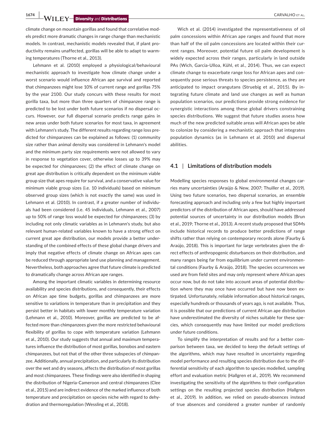**1674 WILEY Diversity** and Distributions **and CARVALHO ET AL.** CARVALHO ET AL.

climate change on mountain gorillas and found that correlative models predict more dramatic changes in range change than mechanistic models. In contrast, mechanistic models revealed that, if plant productivity remains unaffected, gorillas will be able to adapt to warming temperatures (Thorne et al., 2013).

Lehmann et al. (2010) employed a physiological/behavioural mechanistic approach to investigate how climate change under a worst scenario would influence African ape survival and reported that chimpanzees might lose 10% of current range and gorillas 75% by the year 2100. Our study concurs with these results for most gorilla taxa, but more than three quarters of chimpanzee range is predicted to be lost under both future scenarios if no dispersal occurs. However, our full dispersal scenario predicts range gains in new areas under both future scenarios for most taxa, in agreement with Lehmann's study. The different results regarding range loss predicted for chimpanzees can be explained as follows: (1) community size rather than animal density was considered in Lehmann's model and the minimum party size requirements were not allowed to vary in response to vegetation cover, otherwise losses up to 39% may be expected for chimpanzees; (2) the effect of climate change on great ape distribution is critically dependent on the minimum viable group size that apes require for survival, and a conservative value for minimum viable group sizes (i.e. 10 individuals) based on minimum observed group sizes (which is not exactly the same) was used in Lehmann et al. (2010). In contrast, if a greater number of individuals had been considered (i.e. 45 individuals, Lehmann et al., 2007) up to 50% of range loss would be expected for chimpanzees; (3) by including not only climatic variables as in Lehmann's study, but also relevant human-related variables known to have a strong effect on current great ape distribution, our models provide a better understanding of the combined effects of these global change drivers and imply that negative effects of climate change on African apes can be reduced through appropriate land use planning and management. Nevertheless, both approaches agree that future climate is predicted to dramatically change across African ape ranges.

Among the important climatic variables in determining resource availability and species distributions, and consequently, their effects on African ape time budgets, gorillas and chimpanzees are more sensitive to variations in temperature than in precipitation and they persist better in habitats with lower monthly temperature variation (Lehmann et al., 2010). Moreover, gorillas are predicted to be affected more than chimpanzees given the more restricted behavioural flexibility of gorillas to cope with temperature variation (Lehmann et al., 2010). Our study suggests that annual and maximum temperatures influence the distribution of most gorillas, bonobos and eastern chimpanzees, but not that of the other three subspecies of chimpanzee. Additionally, annual precipitation, and particularly its distribution over the wet and dry seasons, affects the distribution of most gorillas and most chimpanzees. These findings were also identified in shaping the distribution of Nigeria-Cameroon and central chimpanzees (Clee et al., 2015) and are indirect evidence of the marked influence of both temperature and precipitation on species niche with regard to dehydration and thermoregulation (Wessling et al., 2018).

Wich et al. (2014) investigated the representativeness of oil palm concessions within African ape ranges and found that more than half of the oil palm concessions are located within their current ranges. Moreover, potential future oil palm development is widely expected across their ranges, particularly in land outside PAs (Wich, Garcia-Ulloa, Kühl, et al., 2014). Thus, we can expect climate change to exacerbate range loss for African apes and consequently pose serious threats to species persistence, as they are anticipated to impact orangutans (Struebig et al., 2015). By integrating future climate and land use changes as well as human population scenarios, our predictions provide strong evidence for synergistic interactions among these global drivers constraining species distributions. We suggest that future studies assess how much of the new predicted suitable areas will African apes be able to colonize by considering a mechanistic approach that integrates population dynamics (as in Lehmann et al. 2010) and dispersal abilities.

# **4.1** | **Limitations of distribution models**

Modelling species responses to global environmental changes carries many uncertainties (Araújo & New, 2007; Thuiller et al., 2019). Using two future scenarios, two dispersal scenarios, an ensemble forecasting approach and including only a few but highly important predictors of the distribution of African apes, should have addressed potential sources of uncertainty in our distribution models (Brun et al., 2019; Thorne et al., 2013). A recent study proposed that SDMs include historical records to produce better predictions of range shifts rather than relying on contemporary records alone (Faurby & Araújo, 2018). This is important for large vertebrates given the direct effects of anthropogenic disturbances on their distribution, and many ranges being far from equilibrium under current environmental conditions (Faurby & Araújo, 2018). The species occurrences we used are from field sites and may only represent where African apes occur now, but do not take into account areas of potential distribution where they may once have occurred but have now been extirpated. Unfortunately, reliable information about historical ranges, especially hundreds or thousands of years ago, is not available. Thus, it is possible that our predictions of current African ape distribution have underestimated the diversity of niches suitable for these species, which consequently may have limited our model predictions under future conditions.

To simplify the interpretation of results and for a better comparison between taxa, we decided to keep the default settings of the algorithms, which may have resulted in uncertainty regarding model performance and resulting species distribution due to the differential sensitivity of each algorithm to species modelled, sampling effort and evaluation metric (Hallgren et al., 2019). We recommend investigating the sensitivity of the algorithms to their configuration settings on the resulting projected species distribution (Hallgren et al., 2019). In addition, we relied on pseudo-absences instead of true absences and considered a greater number of randomly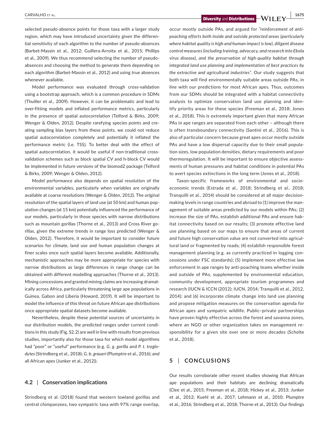**CARVALHO** ET AL. **1675**<br>**Diversity** and **Distributions**  $\rightarrow$  **WII**  $\rightarrow$  1675

selected pseudo-absence points for those taxa with a larger study region, which may have introduced uncertainty given the differential sensitivity of each algorithm to the number of pseudo-absences (Barbet-Massin et al., 2012; Guillera-Arroita et al., 2015; Phillips et al., 2009). We thus recommend selecting the number of pseudoabsences and choosing the method to generate them depending on each algorithm (Barbet-Massin et al., 2012) and using true absences whenever available.

Model performance was evaluated through cross-validation using a bootstrap approach, which is a common procedure in SDMs (Thuiller et al., 2009). However, it can be problematic and lead to over-fitting models and inflated performance metrics, particularly in the presence of spatial autocorrelation (Telford & Birks, 2009; Wenger & Olden, 2012). Despite rarefying species points and creating sampling bias layers from these points, we could not reduce spatial autocorrelation completely and potentially it inflated the performance metric (i.e. TSS). To better deal with the effect of spatial autocorrelation, it would be useful if non-traditional crossvalidation schemes such as block spatial CV and h-block CV would be implemented in future versions of the biomod2 package (Telford & Birks, 2009; Wenger & Olden, 2012).

Model performance also depends on spatial resolution of the environmental variables, particularly when variables are originally available at coarse resolutions (Wenger & Olden, 2012). The original resolution of the spatial layers of land use (at 50 km) and human population changes (at 15 km) potentially influenced the performance of our models, particularly in those species with narrow distributions such as mountain gorillas (Thorne et al., 2013) and Cross River gorillas, given the extreme trends in range loss predicted (Wenger & Olden, 2012). Therefore, it would be important to consider future scenarios for climate, land use and human population changes at finer scales once such spatial layers become available. Additionally, mechanistic approaches may be more appropriate for species with narrow distributions as large differences in range change can be obtained with different modelling approaches (Thorne et al., 2013). Mining concessions and granted mining claims are increasing dramatically across Africa, particularly threatening large ape populations in Guinea, Gabon and Liberia (Howard, 2019). It will be important to model the influence of this threat on future African ape distributions once appropriate spatial datasets become available.

Nevertheless, despite these potential sources of uncertainty in our distribution models, the predicted ranges under current conditions in this study (Fig. S2.2) are well in line with results from previous studies, importantly also for those taxa for which model algorithms had "poor" or "useful" performance (e.g. *G. g. gorilla* and *P. t. troglodytes* (Strindberg et al., 2018); *G. b. graueri* (Plumptre et al., 2016); *and* all African apes (Junker et al., 2012)).

# **4.2** | **Conservation implications**

Strindberg et al. (2018) found that western lowland gorillas and central chimpanzees, two sympatric taxa with 97% range overlap, occur mostly outside PAs, and argued for *"reinforcement of antipoaching efforts both inside and outside protected areas (particularly where habitat quality is high and human impact is low), diligent disease control measures (including training, advocacy, and research into Ebola virus disease), and the preservation of high-quality habitat through integrated land use planning and implementation of best practices by the extractive and agricultural industries"*. Our study suggests that both taxa will find environmentally suitable areas outside PAs, in line with our predictions for most African apes. Thus, outcomes from our SDMs should be integrated with a habitat connectivity analysis to optimize conservation land use planning and identify priority areas for these species (Freeman et al., 2018; Jones et al., 2018). This is extremely important given that many African PAs in ape ranges are separated from each other – although there is often transboundary connectivity (Santini et al., 2016). This is also of particular concern because great apes occur mostly outside PAs and have a low dispersal capacity due to their small population sizes, low population densities, dietary requirements and poor thermoregulation. It will be important to ensure objective assessments of human pressures and habitat conditions in potential PAs to avert species extinctions in the long term (Jones et al., 2018).

Taxon-specific frameworks of environmental and socioeconomic trends (Estrada et al., 2018; Strindberg et al., 2018; Tranquilli et al., 2014) should be considered at all major decisionmaking levels in range countries and abroad to (1) improve the management of suitable areas predicted by our models within PAs; (2) increase the size of PAs, establish additional PAs and ensure habitat connectivity based on our results; (3) promote effective land use planning based on our maps to ensure that areas of current and future high conservation value are not converted into agricultural land or fragmented by roads; (4) establish responsible forest management planning (e.g. as currently practiced in logging concessions under FSC standards); (5) implement more effective law enforcement in ape ranges by anti-poaching teams whether inside and outside of PAs, supplemented by environmental education, community development, appropriate tourism programmes and research (IUCN & ICCN (2012); IUCN, 2014; Tranquilli et al., 2012, 2014); and (6) incorporate climate change into land use planning and propose mitigation measures on the conservation agenda for African apes and sympatric wildlife. Public–private partnerships have proven highly effective across the forest and savanna zones, where an NGO or other organization takes on management responsibility for a given site over one or more decades (Scholte et al., 2018).

# **5** | **CONCLUSIONS**

Our results corroborate other recent studies showing that African ape populations and their habitats are declining dramatically (Clee et al., 2015; Freeman et al., 2018; Hickey et al., 2013; Junker et al., 2012; Kuehl et al., 2017; Lehmann et al., 2010; Plumptre et al., 2016; Strindberg et al., 2018; Thorne et al., 2013). Our findings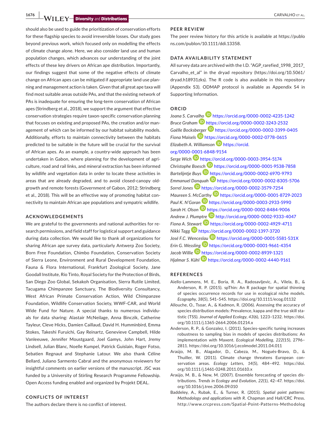**1676 WILEY Diversity** and Distributions **Distributions** 

should also be used to guide the prioritization of conservation efforts for these flagship species to avoid irreversible losses. Our study goes beyond previous work, which focused only on modelling the effects of climate change alone. Here, we also consider land use and human population changes, which advances our understanding of the joint effects of these key drivers on African ape distribution. Importantly, our findings suggest that some of the negative effects of climate change on African apes can be mitigated if appropriate land use planning and management action is taken. Given that all great ape taxa will find most suitable areas outside PAs, and that the existing network of PAs is inadequate for ensuring the long-term conservation of African apes (Strindberg et al., 2018), we support the argument that effective conservation strategies require taxon-specific conservation planning that focuses on existing and proposed PAs, the creation and/or management of which can be informed by our habitat suitability models. Additionally, efforts to maintain connectivity between the habitats predicted to be suitable in the future will be crucial for the survival of African apes. As an example, a country-wide approach has been undertaken in Gabon, where planning for the development of agriculture, road and rail links, and mineral extraction has been informed by wildlife and vegetation data in order to locate these activities in areas that are already degraded, and to avoid closed-canopy oldgrowth and remote forests (Government of Gabon, 2012; Strindberg et al., 2018). This will be an effective way of promoting habitat connectivity to maintain African ape populations and sympatric wildlife.

#### **ACKNOWLEDGEMENTS**

We are grateful to the governments and national authorities for research permissions, and field staff for logistical support and guidance during data collection. We would like to thank all organizations for sharing African ape survey data, particularly Antwerp Zoo Society, Born Free Foundation, Chimbo Foundation, Conservation Society of Sierra Leone, Environment and Rural Development Foundation, Fauna & Flora International, Frankfurt Zoological Society, Jane Goodall Institute, Rio Tinto, Royal Society for the Protection of Birds, San Diego Zoo Global, Sekakoh Organisation, Sierra Rutile Limited, Tacugama Chimpanzee Sanctuary, The Biodiversity Consultancy, West African Primate Conservation Action, Wild Chimpanzee Foundation, Wildlife Conservation Society, WWF-CAR, and World Wide Fund for Nature. A special thanks to numerous individuals for data sharing: Alastair McNeilage, Anna Binczik, Catherine Tayleur, Cleve Hicks, Damien Caillaud, David H. Humminbird, Emma Stokes, Takeshi Furuichi, Gay Reinartz, Genevieve Campbell, Hilde Vanleeuwe, Jennifer Moustgaard, Joel Gamys, John Hart, Jremy Lindsell, Julian Blanc, Noelle Kumpel, Patrick Guislain, Roger Fotso, Sebatien Regnaut and Stephanie Latour. We also thank Céline Bellard, Juliano Sarmento Cabral and the anonymous reviewers for insightful comments on earlier versions of the manuscript. JSC was funded by a University of Stirling Research Programme Fellowship. Open Access funding enabled and organized by Projekt DEAL.

### **CONFLICTS OF INTEREST**

The authors declare there is no conflict of interest.

#### **PEER REVIEW**

The peer review history for this article is available at [https://publo](https://publons.com/publon/10.1111/ddi.13358) [ns.com/publon/10.1111/ddi.13358.](https://publons.com/publon/10.1111/ddi.13358)

# **DATA AVAILABILITY STATEMENT**

All survey data are archived with the I.D. "AGP\_rarefied\_1998\_2017\_ Carvalho\_et\_al" in the dryad repository [\(https://doi.org/10.5061/](https://doi.org/10.5061/dryad.h18931zks) [dryad.h18931zks](https://doi.org/10.5061/dryad.h18931zks)). The R code is also available in this repository (Appendix S3). ODMAP protocol is available as Appendix S4 in Supporting Information.

### **ORCID**

*Joana S. Carv[alho](https://orcid.org/0000-0002-3243-2532)* <https://orcid.org/0000-0002-4235-1242> *Bruce Graham* <https://orcid.org/0000-0002-3243-2532> *Gaёlle Bocks[berge](https://orcid.org/0000-0002-0778-0615)r* <https://orcid.org/0000-0002-3399-0405> *Fiona Maisels* <https://orcid.org/0000-0002-0778-0615> *Elizabeth A. Williamson* [https://orcid.](https://orcid.org/0000-0001-6848-9154) [org/0000-0001-6848-9154](https://orcid.org/0000-0001-6848-9154)

*Serge Wich* <https://orcid.org/0000-0003-3954-5174> *Christophe Boes[ch](https://orcid.org/0000-0002-6970-9793)* <https://orcid.org/0000-0001-9538-7858> *Bartelijntje Buys* <https://orcid.org/0000-0002-6970-9793> *Emmanuel [Danqu](https://orcid.org/0000-0002-3579-7254)ah* <https://orcid.org/0000-0002-8305-5706> *Sorrel Jones* <https://orcid.org/0000-0002-3579-7254> *Maureen S. Mc[Carth](https://orcid.org/0000-0003-2933-5990)y* <https://orcid.org/0000-0001-8729-2023> *Paul K. N'Gora[n](https://orcid.org/0000-0002-8484-9006)* <https://orcid.org/0000-0003-2933-5990> *Sarah H. Olson* <https://orcid.org/0000-0002-8484-9006> *Andrew J. Plum[ptre](https://orcid.org/0000-0002-4929-4711)* <http://orcid.org/0000-0002-9333-4047> *Fiona A. S[tewa](https://orcid.org/0000-0002-1397-3720)rt* <https://orcid.org/0000-0002-4929-4711> *Nikki Tagg* <https://orcid.org/0000-0002-1397-3720> *José F.C. Wenc[eslau](https://orcid.org/0000-0001-9661-4354)* <https://orcid.org/0000-0001-5581-531X> *Erin G. Wes[sling](https://orcid.org/0000-0002-8939-1321)* <https://orcid.org/0000-0001-9661-4354> *Jacob Willie* <https://orcid.org/0000-0002-8939-1321> *Hjalmar S. Kühl* <https://orcid.org/0000-0002-4440-9161>

### **REFERENCES**

- Aiello-Lammens, M. E., Boria, R. A., Radosavljevic, A., Vilela, B., & Anderson, R. P. (2015). spThin: An R package for spatial thinning of species occurrence records for use in ecological niche models. *Ecography*, *38*(5), 541–545. <https://doi.org/10.1111/ecog.01132>
- Allouche, O., Tsoar, A., & Kadmon, R. (2006). Assessing the accuracy of species distribution models: Prevalence, kappa and the true skill statistic (TSS). *Journal of Applied Ecology*, *43*(6), 1223–1232. [https://doi.](https://doi.org/10.1111/j.1365-2664.2006.01214.x) [org/10.1111/j.1365-2664.2006.01214.x](https://doi.org/10.1111/j.1365-2664.2006.01214.x)
- Anderson, R. P., & Gonzalez, I. (2011). Species-specific tuning increases robustness to sampling bias in models of species distributions: An implementation with Maxent. *Ecological Modelling*, *222*(15), 2796– 2811.<https://doi.org/10.1016/j.ecolmodel.2011.04.011>
- Araújo, M. B., Alagador, D., Cabeza, M., Nogués-Bravo, D., & Thuiller, W. (2011). Climate change threatens European conservation areas. *Ecology Letters*, *14*(5), 484–492. [https://doi.](https://doi.org/10.1111/j.1461-0248.2011.01610.x) [org/10.1111/j.1461-0248.2011.01610.x](https://doi.org/10.1111/j.1461-0248.2011.01610.x)
- Araújo, M. B., & New, M. (2007). Ensemble forecasting of species distributions. *Trends in Ecology and Evolution*, *22*(1), 42–47. [https://doi.](https://doi.org/10.1016/j.tree.2006.09.010) [org/10.1016/j.tree.2006.09.010](https://doi.org/10.1016/j.tree.2006.09.010)
- Baddeley, A., Rubak, E., & Turner, R. (2015). *Spatial point patterns: Methodology and applications with R*. Chapman and Hall/CRC Press. [http://www.crcpress.com/Spatial-Point-Patterns-Methodolog](http://www.crcpress.com/Spatial-Point-Patterns-Methodology-and-Applications-with-R/Baddeley-Rubak-Turner/9781482210200/)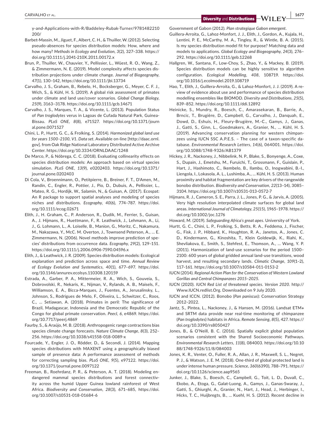[y-and-Applications-with-R/Baddeley-Rubak-Turner/9781482210](http://www.crcpress.com/Spatial-Point-Patterns-Methodology-and-Applications-with-R/Baddeley-Rubak-Turner/9781482210200/) [200/](http://www.crcpress.com/Spatial-Point-Patterns-Methodology-and-Applications-with-R/Baddeley-Rubak-Turner/9781482210200/)

- Barbet-Massin, M., Jiguet, F., Albert, C. H., & Thuiller, W. (2012). Selecting pseudo-absences for species distribution models: How, where and how many? *Methods in Ecology and Evolution*, *3*(2), 327–338. [https://](https://doi.org/10.1111/j.2041-210X.2011.00172.x) [doi.org/10.1111/j.2041-210X.2011.00172.x](https://doi.org/10.1111/j.2041-210X.2011.00172.x)
- Brun, P., Thuiller, W., Chauvier, Y., Pellissier, L., Wüest, R. O., Wang, Z., & Zimmermann, N. E. (2019). Model complexity affects species distribution projections under climate change. *Journal of Biogeography*, *47*(1), 130–142, <https://doi.org/10.1111/jbi.13734>
- Carvalho, J. S., Graham, B., Rebelo, H., Bocksberger, G., Meyer, C. F. J., Wich, S., & Kühl, H. S. (2019). A global risk assessment of primates under climate and land use/cover scenarios. *Global Change Biology*, *25*(9), 3163–3178. <https://doi.org/10.1111/gcb.14671>
- Carvalho, J. S., Marques, T. A., & Vicente, L. (2013). Population Status of *Pan troglodytes* verus in Lagoas de Cufada Natural Park, Guinea-Bissau. *PLoS ONE*, *8*(8), e71527. [https://doi.org/10.1371/journ](https://doi.org/10.1371/journal.pone.0071527) [al.pone.0071527](https://doi.org/10.1371/journal.pone.0071527)
- Chini, L. P., Hurtt, G. C., & Frolking, S. (2014). *Harmonized global land use for years 1500–2100, V1. Data set*. Available on-line [[http://daac.ornl.](http://daac.ornl.gov) [gov\]](http://daac.ornl.gov). from Oak Ridge National Laboratory Distributed Active Archive Center.<https://doi.org/10.3334/ORNLDAAC/1248>
- De Marco, P., & Nóbrega, C. C. (2018). Evaluating collinearity effects on species distribution models: An approach based on virtual species simulation. *PLoS ONE*, *13*(9), e0202403. [https://doi.org/10.1371/](https://doi.org/10.1371/journal.pone.0202403) [journal.pone.0202403](https://doi.org/10.1371/journal.pone.0202403)
- Di Cola, V., Broennimann, O., Petitpierre, B., Breiner, F. T., D'Amen, M., Randin, C., Engler, R., Pottier, J., Pio, D., Dubuis, A., Pellissier, L., Mateo, R. G., Hordijk, W., Salamin, N., & Guisan, A. (2017). Ecospat: An R package to support spatial analyses and modeling of species niches and distributions. *Ecography*, *40*(6), 774–787. [https://doi.](https://doi.org/10.1111/ecog.02671) [org/10.1111/ecog.02671](https://doi.org/10.1111/ecog.02671)
- Elith, J., H. Graham, C., P. Anderson, R., Dudík, M., Ferrier, S., Guisan, A., J. Hijmans, R., Huettmann, F., R. Leathwick, J., Lehmann, A., Li, J., G. Lohmann, L., A. Loiselle, B., Manion, G., Moritz, C., Nakamura, M., Nakazawa, Y., McC. M. Overton, J., Townsend Peterson, A., … E. Zimmermann, N. (2006). Novel methods improve prediction of species' distributions from occurrence data. *Ecography*, *29*(2), 129–151. <https://doi.org/10.1111/j.2006.0906-7590.04596.x>
- Elith, J., & Leathwick, J. R. (2009). Species distribution models: Ecological explanation and prediction across space and time. *Annual Review of Ecology Evolution and Systematics*, *40*(1), 677–697. [https://doi.](https://doi.org/10.1146/annurev.ecolsys.110308.120159) [org/10.1146/annurev.ecolsys.110308.120159](https://doi.org/10.1146/annurev.ecolsys.110308.120159)
- Estrada, A., Garber, P. A., Mittermeier, R. A., Wich, S., Gouveia, S., Dobrovolski, R., Nekaris, K., Nijman, V., Rylands, A. B., Maisels, F., Williamson, E. A., Bicca-Marques, J., Fuentes, A., Jerusalinsky, L., Johnson, S., Rodrigues de Melo, F., Oliveira, L., Schwitzer, C., Roos, C., … Setiawan, A. (2018). Primates in peril: The significance of Brazil, Madagascar, Indonesia and the Democratic Republic of the Congo for global primate conservation. *PeerJ*, *6*, e4869. [https://doi.](https://doi.org/10.7717/peerj.4869) [org/10.7717/peerj.4869](https://doi.org/10.7717/peerj.4869)
- Faurby, S., & Araújo, M. B. (2018). Anthropogenic range contractions bias species climate change forecasts. *Nature Climate Change*, *8*(3), 252– 256. <https://doi.org/10.1038/s41558-018-0089-x>
- Fourcade, Y., Engler, J. O., Rödder, D., & Secondi, J. (2014). Mapping species distributions with MAXENT using a geographically biased sample of presence data: A performance assessment of methods for correcting sampling bias. *PLoS ONE*, *9*(5), e97122. [https://doi.](https://doi.org/10.1371/journal.pone.0097122) [org/10.1371/journal.pone.0097122](https://doi.org/10.1371/journal.pone.0097122)
- Freeman, B., Roehrdanz, P. R., & Peterson, A. T. (2018). Modeling endangered mammal species distributions and forest connectivity across the humid Upper Guinea lowland rainforest of West Africa. *Biodiversity and Conservation*, *28*(3), 671–685, [https://doi.](https://doi.org/10.1007/s10531-018-01684-6) [org/10.1007/s10531-018-01684-6](https://doi.org/10.1007/s10531-018-01684-6)

Government of Gabon (2012). *Plan strategique Gabon emergent*.

- Guillera-Arroita, G., Lahoz-Monfort, J. J., Elith, J., Gordon, A., Kujala, H., Lentini, P. E., McCarthy, M. A., Tingley, R., & Wintle, B. A. (2015). Is my species distribution model fit for purpose? Matching data and models to applications. *Global Ecology and Biogeography*, *24*(3), 276– 292. <https://doi.org/10.1111/geb.12268>
- Hallgren, W., Santana, F., Low-Choy, S., Zhao, Y., & Mackey, B. (2019). Species distribution models can be highly sensitive to algorithm configuration. *Ecological Modelling*, *408*, 108719. [https://doi.](https://doi.org/10.1016/j.ecolmodel.2019.108719) [org/10.1016/j.ecolmodel.2019.108719](https://doi.org/10.1016/j.ecolmodel.2019.108719)
- Hao, T., Elith, J., Guillera-Arroita, G., & Lahoz-Monfort, J. J. (2019). A review of evidence about use and performance of species distribution modelling ensembles like BIOMOD. *Diversity and Distributions*, *25*(5), 839–852. <https://doi.org/10.1111/ddi.12892>
- Heinicke, S., Mundry, R., Boesch, C., Amarasekaran, B., Barrie, A., Brncic, T., Brugière, D., Campbell, G., Carvalho, J., Danquah, E., Dowd, D., Eshuis, H., Fleury-Brugière, M.-C., Gamys, J., Ganas, J., Gatti, S., Ginn, L., Goedmakers, A., Granier, N., … Kühl, H. S. (2019). Advancing conservation planning for western chimpanzees using IUCN SSC A.P.E.S. – The case of a taxon-specific database. *Environmental Research Letters*, *14*(6), 064001. [https://doi.](https://doi.org/10.1088/1748-9326/AB1379) [org/10.1088/1748-9326/AB1379](https://doi.org/10.1088/1748-9326/AB1379)
- Hickey, J. R., Nackoney, J., Nibbelink, N. P., Blake, S., Bonyenge, A., Coxe, S., Dupain, J., Emetshu, M., Furuichi, T., Grossmann, F., Guislain, P., Hart, J., Hashimoto, C., Ikembelo, B., Ilambu, O., Inogwabini, B.-I., Liengola, I., Lokasola, A. L., Lushimba, A., … Kühl, H. S. (2013). Human proximity and habitat fragmentation are key drivers of the rangewide bonobo distribution. *Biodiversity and Conservation*, *22*(13–14), 3085– 3104.<https://doi.org/10.1007/s10531-013-0572-7>
- Hijmans, R. J., Cameron, S. E., Parra, J. L., Jones, P. G., & Jarvis, A. (2005). Very high resolution interpolated climate surfaces for global land areas. *International Journal of Climatology*, *25*(15), 1965–1978. [https://](https://doi.org/10.1002/joc.1276) [doi.org/10.1002/joc.1276](https://doi.org/10.1002/joc.1276)
- Howard, M. (2019). *Safeguarding Africa's great apes*. University of York.
- Hurtt, G. C., Chini, L. P., Frolking, S., Betts, R. A., Feddema, J., Fischer, G., Fisk, J. P., Hibbard, K., Houghton, R. A., Janetos, A., Jones, C. D., Kindermann, G., Kinoshita, T., Klein Goldewijk, K., Riahi, K., Shevliakova, E., Smith, S., Stehfest, E., Thomson, A., … Wang, Y. P. (2011). Harmonization of land-use scenarios for the period 1500– 2100: 600 years of global gridded annual land-use transitions, wood harvest, and resulting secondary lands. *Climatic Change*, *109*(1–2), 117–161.<https://doi.org/10.1007/s10584-011-0153-2>
- IUCN (2014). *Regional Action Plan for the Conservation of Western Lowland Gorillas and Central Chimpanzees 2015–2025*.
- IUCN (2020). *IUCN Red List of threatened species. Version 2020*. [http://](http://Www.IUCN.redlist.Org) [Www.IUCN.redlist.Org.](http://Www.IUCN.redlist.Org) Downloaded on 9 July 2020.
- IUCN and ICCN. (2012). Bonobo (*Pan paniscus*): Conservation Strategy 2012–2022.
- Jantz, S., Pintea, L., Nackoney, J., & Hansen, M. (2016). Landsat ETM*+* and SRTM data provide near real-time monitoring of chimpanzee (*Pan troglodytes*) habitats in Africa. *Remote Sensing*, *8*(5), 427. [https://](https://doi.org/10.3390/rs8050427) [doi.org/10.3390/rs8050427](https://doi.org/10.3390/rs8050427)
- Jones, B., & O'Neill, B. C. (2016). Spatially explicit global population scenarios consistent with the Shared Socioeconomic Pathways. *Environmental Research Letters*, *11*(8), 084003. [https://doi.org/10.10](https://doi.org/10.1088/1748-9326/11/8/084003) [88/1748-9326/11/8/084003](https://doi.org/10.1088/1748-9326/11/8/084003)
- Jones, K. R., Venter, O., Fuller, R. A., Allan, J. R., Maxwell, S. L., Negret, P. J., & Watson, J. E. M. (2018). One-third of global protected land is under intense human pressure. *Science*, *360*(6390), 788–791. [https://](https://doi.org/10.1126/science.aap9565) [doi.org/10.1126/science.aap9565](https://doi.org/10.1126/science.aap9565)
- Junker, J., Blake, S., Boesch, C., Campbell, G., Toit, L. D., Duvall, C., Ekobo, A., Etoga, G., Galat-Luong, A., Gamys, J., Ganas-Swaray, J., Gatti, S., Ghiurghi, A., Granier, N., Hart, J., Head, J., Herbinger, I., Hicks, T. C., Huijbregts, B., … Kuehl, H. S. (2012). Recent decline in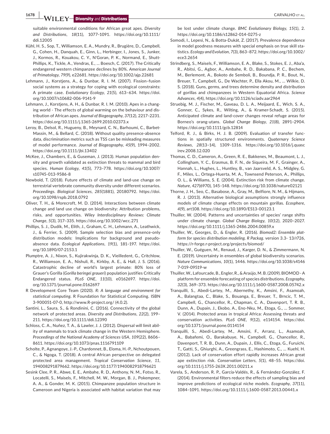**1678 WILEY Diversity** and Distributions **Distributions** 

suitable environmental conditions for African great apes. *Diversity and Distributions*, *18*(11), 1077–1091. [https://doi.org/10.1111/](https://doi.org/10.1111/ddi.12005) [ddi.12005](https://doi.org/10.1111/ddi.12005)

- Kühl, H. S., Sop, T., Williamson, E. A., Mundry, R., Brugière, D., Campbell, G., Cohen, H., Danquah, E., Ginn, L., Herbinger, I., Jones, S., Junker, J., Kormos, R., Kouakou, C. Y., N'Goran, P. K., Normand, E., Shutt-Phillips, K., Tickle, A., Vendras, E., … Boesch, C. (2017). The Critically endangered western chimpanzee declines by 80%. *American Journal of Primatology*, *79*(9), e22681. <https://doi.org/10.1002/ajp.22681>
- Lehmann, J., Korstjens, A., & Dunbar, R. I. M. (2007). Fission–fusion social systems as a strategy for coping with ecological constraints: A primate case. *Evolutionary Ecology*, *21*(5), 613–634. [https://doi.](https://doi.org/10.1007/s10682-006-9141-9) [org/10.1007/s10682-006-9141-9](https://doi.org/10.1007/s10682-006-9141-9)
- Lehmann, J., Korstjens, A. H., & Dunbar, R. I. M. (2010). Apes in a changing world - The effects of global warming on the behaviour and distribution of African apes. *Journal of Biogeography*, *37*(12), 2217–2231. <https://doi.org/10.1111/j.1365-2699.2010.02373.x>
- Leroy, B., Delsol, R., Hugueny, B., Meynard, C. N., Barhoumi, C., Barbet-Massin, M., & Bellard, C. (2018). Without quality presence-absence data, discrimination metrics such as TSS can be misleading measures of model performance. *Journal of Biogeography*, *45*(9), 1994–2002. <https://doi.org/10.1111/jbi.13402>
- McKee, J., Chambers, E., & Guseman, J. (2013). Human population density and growth validated as extinction threats to mammal and bird species. *Human Ecology*, *41*(5), 773–778. [https://doi.org/10.1007/](https://doi.org/10.1007/s10745-013-9586-8) [s10745-013-9586-8](https://doi.org/10.1007/s10745-013-9586-8)
- Newbold, T. (2018). Future effects of climate and land-use change on terrestrial vertebrate community diversity under different scenarios. *Proceedings. Biological Sciences*, *285*(1881), 20180792. [https://doi.](https://doi.org/10.1098/rspb.2018.0792) [org/10.1098/rspb.2018.0792](https://doi.org/10.1098/rspb.2018.0792)
- Oliver, T. H., & Morecroft, M. D. (2014). Interactions between climate change and land use change on biodiversity: Attribution problems, risks, and opportunities. *Wiley Interdisciplinary Reviews: Climate Change*, *5*(3), 317–335.<https://doi.org/10.1002/wcc.271>
- Phillips, S. J., Dudík, M., Elith, J., Graham, C. H., Lehmann, A., Leathwick, J., & Ferrier, S. (2009). Sample selection bias and presence-only distribution models: Implications for background and pseudoabsence data. *Ecological Applications*, *19*(1), 181–197. [https://doi.](https://doi.org/10.1890/07-2153.1) [org/10.1890/07-2153.1](https://doi.org/10.1890/07-2153.1)
- Plumptre, A. J., Nixon, S., Kujirakwinja, D. K., Vieilledent, G., Critchlow, R., Williamson, E. A., Nishuli, R., Kirkby, A. E., & Hall, J. S. (2016). Catastrophic decline of world's largest primate: 80% loss of Grauer's Gorilla (*Gorilla beringei graueri*) population justifies Critically Endangered status. *PLoS ONE*, *11*(10), e0162697. [https://doi.](https://doi.org/10.1371/journal.pone.0162697) [org/10.1371/journal.pone.0162697](https://doi.org/10.1371/journal.pone.0162697)
- R Development Core Team (2020). *R: A language and environment for statistical computing*. R Foundation for Statistical Computing. ISBN 3-900051-07-0,<http://www.R-project.org/> (4.0.2).
- Santini, L., Saura, S., & Rondinini, C. (2016). Connectivity of the global network of protected areas. *Diversity and Distributions*, *22*(2), 199– 211.<https://doi.org/10.1111/ddi.12390>
- Schloss, C. A., Nuñez, T. A., & Lawler, J. J. (2012). Dispersal will limit ability of mammals to track climate change in the Western Hemisphere. *Proceedings of the National Academy of Sciences USA*, *109*(22), 8606– 8611.<https://doi.org/10.1073/pnas.1116791109>
- Scholte, P., Agnangoye, J.-P., Chardonnet, B., Eloma, H.-P., Nchoutpouen, C., & Ngoga, T. (2018). A central African perspective on delegated protected area management. *Tropical Conservation Science*, *11*, 194008291879662.<https://doi.org/10.1177/1940082918796621>
- Sesink Clee, P. R., Abwe, E. E., Ambahe, R. D., Anthony, N. M., Fotso, R., Locatelli, S., Maisels, F., Mitchell, M. W., Morgan, B. J., Pokempner, A. A., & Gonder, M. K. (2015). Chimpanzee population structure in Cameroon and Nigeria is associated with habitat variation that may

be lost under climate change. *BMC Evolutionary Biology*, *15*(1), 2. <https://doi.org/10.1186/s12862-014-0275-z>

- Somodi, I., Lepesi, N., & Botta-Dukát, Z. (2017). Prevalence dependence in model goodness measures with special emphasis on true skill statistics. *Ecology and Evolution*, *7*(3), 863–872. [https://doi.org/10.1002/](https://doi.org/10.1002/ece3.2654) [ece3.2654](https://doi.org/10.1002/ece3.2654)
- Strindberg, S., Maisels, F., Williamson, E. A., Blake, S., Stokes, E. J., Aba'a, R., Abitsi, G., Agbor, A., Ambahe, R. D., Bakabana, P. C., Bechem, M., Berlemont, A., Bokoto de Semboli, B., Boundja, P. R., Bout, N., Breuer, T., Campbell, G., De Wachter, P., Ella Akou, M., … Wilkie, D. S. (2018). Guns, germs, and trees determine density and distribution of gorillas and chimpanzees in Western Equatorial Africa. *Science Advances*, *4*(4),<https://doi.org/10.1126/sciadv.aar2964>
- Struebig, M. J., Fischer, M., Gaveau, D. L. A., Meijaard, E., Wich, S. A., Gonner, C., Sykes, R., Wilting, A., & Kramer-Schadt, S. (2015). Anticipated climate and land-cover changes reveal refuge areas for Borneo's orang-utans. *Global Change Biology*, *21*(8), 2891–2904. <https://doi.org/10.1111/gcb.12814>
- Telford, R. J., & Birks, H. J. B. (2009). Evaluation of transfer functions in spatially structured environments. *Quaternary Science Reviews*, *28*(13–14), 1309–1316. [https://doi.org/10.1016/j.quasc](https://doi.org/10.1016/j.quascirev.2008.12.020) [irev.2008.12.020](https://doi.org/10.1016/j.quascirev.2008.12.020)
- Thomas, C. D., Cameron, A., Green, R. E., Bakkenes, M., Beaumont, L. J., Collingham, Y. C., Erasmus, B. F. N., de Siqueira, M. F., Grainger, A., Hannah, L., Hughes, L., Huntley, B., van Jaarsveld, A. S., Midgley, G. F., Miles, L., Ortega-Huerta, M. A., Townsend Peterson, A., Phillips, O. L., & Williams, S. E. (2004). Extinction risk from climate change. *Nature*, *427*(6970), 145–148. <https://doi.org/10.1038/nature02121>
- Thorne, J. H., Seo, C., Basabose, A., Gray, M., Belfiore, N. M., & Hijmans, R. J. (2013). Alternative biological assumptions strongly influence models of climate change effects on mountain gorillas. *Ecosphere*, *4*(9), art108. <https://doi.org/10.1890/ES13-00123.1>
- Thuiller, W. (2004). Patterns and uncertainties of species' range shifts under climate change. *Global Change Biology*, *10*(12), 2020–2027. <https://doi.org/10.1111/j.1365-2486.2004.00859.x>
- Thuiller, W., Georges, D., & Engler, R. (2016). *Biomod2: Ensemble platform for species distribution modeling. R Packag*. version 3.3- 13/r726, <https://r-forge.r-project.org/projects/biomod/>
- Thuiller, W., Guéguen, M., Renaud, J., Karger, D. N., & Zimmermann, N. E. (2019). Uncertainty in ensembles of global biodiversity scenarios. *Nature Communications*, *10*(1), 1446. [https://doi.org/10.1038/s4146](https://doi.org/10.1038/s41467-019-09519-w) [7-019-09519-w](https://doi.org/10.1038/s41467-019-09519-w)
- Thuiller, W., Lafourcade, B., Engler, R., & Araújo, M. B. (2009). BIOMOD A platform for ensemble forecasting of species distributions. *Ecography*, *32*(3), 369–373.<https://doi.org/10.1111/j.1600-0587.2008.05742.x>
- Tranquilli, S., Abedi-Lartey, M., Abernethy, K., Amsini, F., Asamoah, A., Balangtaa, C., Blake, S., Bouanga, E., Breuer, T., Brncic, T. M., Campbell, G., Chancellor, R., Chapman, C. A., Davenport, T. R. B., Dunn, A., Dupain, J., Ekobo, A., Eno-Nku, M., Etoga, G., … Sommer, V. (2014). Protected areas in tropical Africa: Assessing threats and conservation activities. *PLoS ONE*, *9*(12), e114154. [https://doi.](https://doi.org/10.1371/journal.pone.0114154) [org/10.1371/journal.pone.0114154](https://doi.org/10.1371/journal.pone.0114154)
- Tranquilli, S., Abedi-Lartey, M., Amsini, F., Arranz, L., Asamoah, A., Babafemi, O., Barakabuye, N., Campbell, G., Chancellor, R., Davenport, T. R. B., Dunn, A., Dupain, J., Ellis, C., Etoga, G., Furuichi, T., Gatti, S., Ghiurghi, A., Greengrass, E., Hashimoto, C., … Kuehl, H. (2012). Lack of conservation effort rapidly increases African great ape extinction risk. *Conservation Letters*, *5*(1), 48–55. [https://doi.](https://doi.org/10.1111/j.1755-263X.2011.00211.x) [org/10.1111/j.1755-263X.2011.00211.x](https://doi.org/10.1111/j.1755-263X.2011.00211.x)
- Varela, S., Anderson, R. P., García-Valdés, R., & Fernández-González, F. (2014). Environmental filters reduce the effects of sampling bias and improve predictions of ecological niche models. *Ecography*, *37*(11), 1084–1091.<https://doi.org/10.1111/j.1600-0587.2013.00441.x>